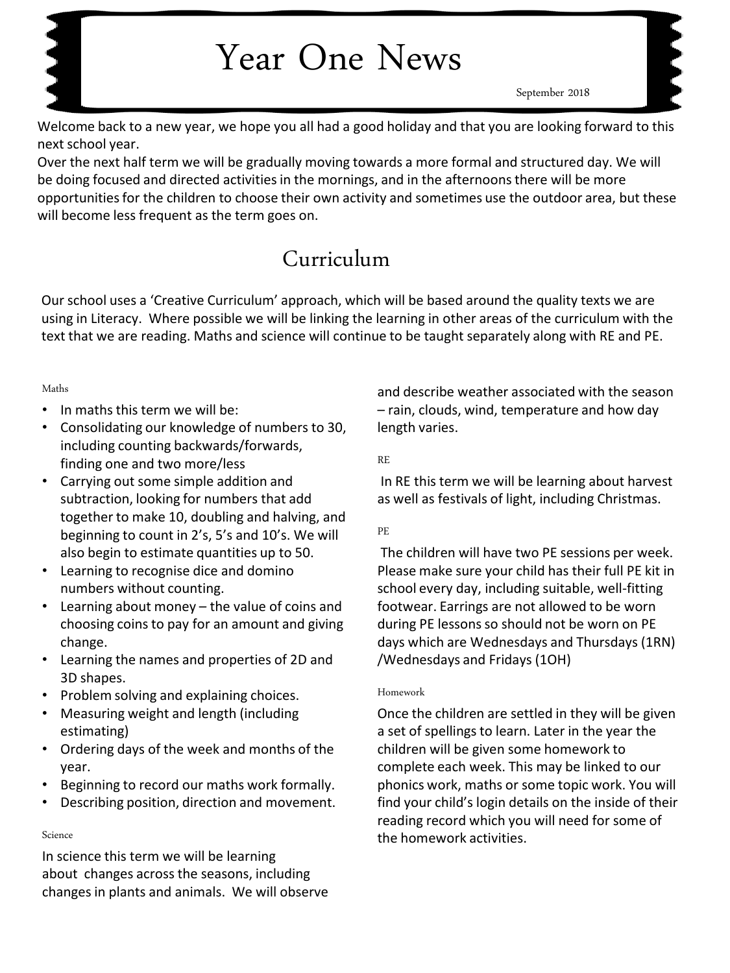# Year One News

September 2018

Welcome back to a new year, we hope you all had a good holiday and that you are looking forward to this next school year.

Over the next half term we will be gradually moving towards a more formal and structured day. We will be doing focused and directed activities in the mornings, and in the afternoons there will be more opportunities for the children to choose their own activity and sometimes use the outdoor area, but these will become less frequent as the term goes on.

## Curriculum

Our school uses a 'Creative Curriculum' approach, which will be based around the quality texts we are using in Literacy. Where possible we will be linking the learning in other areas of the curriculum with the text that we are reading. Maths and science will continue to be taught separately along with RE and PE.

#### Maths

- In maths this term we will be:
- Consolidating our knowledge of numbers to 30, including counting backwards/forwards, finding one and two more/less
- Carrying out some simple addition and subtraction, looking for numbers that add together to make 10, doubling and halving, and beginning to count in 2's, 5's and 10's. We will also begin to estimate quantities up to 50.
- Learning to recognise dice and domino numbers without counting.
- Learning about money the value of coins and choosing coins to pay for an amount and giving change.
- Learning the names and properties of 2D and 3D shapes.
- Problem solving and explaining choices.
- Measuring weight and length (including estimating)
- Ordering days of the week and months of the year.
- Beginning to record our maths work formally.
- Describing position, direction and movement.

#### Science

In science this term we will be learning about changes across the seasons, including changes in plants and animals. We will observe and describe weather associated with the season – rain, clouds, wind, temperature and how day length varies.

RE

In RE this term we will be learning about harvest as well as festivals of light, including Christmas.

#### PE

The children will have two PE sessions per week. Please make sure your child has their full PE kit in school every day, including suitable, well-fitting footwear. Earrings are not allowed to be worn during PE lessons so should not be worn on PE days which are Wednesdays and Thursdays (1RN) /Wednesdays and Fridays (1OH)

#### Homework

Once the children are settled in they will be given a set of spellings to learn. Later in the year the children will be given some homework to complete each week. This may be linked to our phonics work, maths or some topic work. You will find your child's login details on the inside of their reading record which you will need for some of the homework activities.